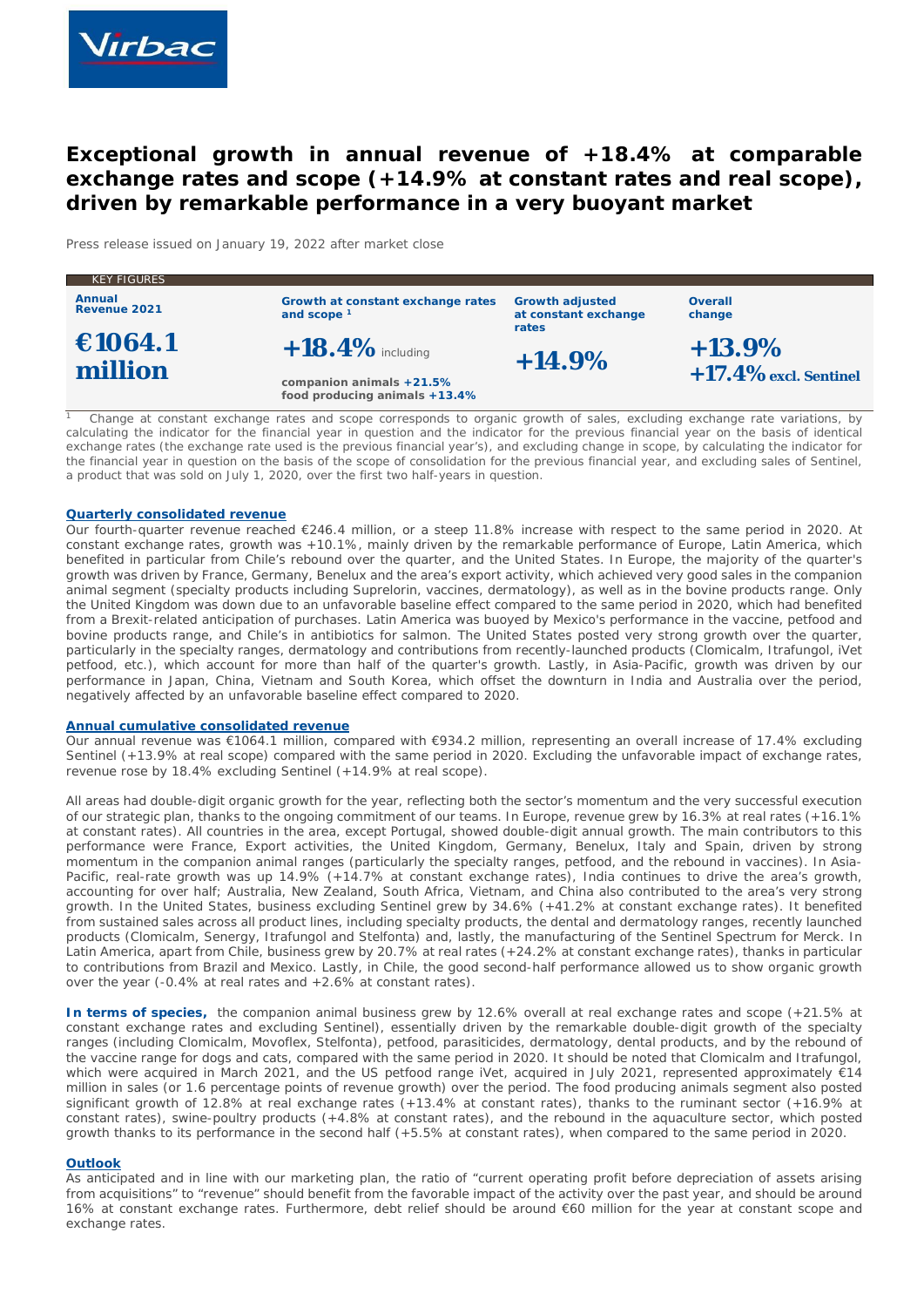

# **Exceptional growth in annual revenue of +18.4% at comparable exchange rates and scope (+14.9% at constant rates and real scope), driven by remarkable performance in a very buoyant market**

*Press release issued on January 19, 2022 after market close*

| <b>KEY FIGURES</b>            |                                                             |                                                         |                          |
|-------------------------------|-------------------------------------------------------------|---------------------------------------------------------|--------------------------|
| <b>Annual</b><br>Revenue 2021 | Growth at constant exchange rates<br>and scope <sup>1</sup> | <b>Growth adjusted</b><br>at constant exchange<br>rates | <b>Overall</b><br>change |
| €1064.1<br>million            | $+18.4\%$ including                                         | $+14.9%$                                                | $+13.9\%$                |
|                               | companion animals +21.5%<br>food producing animals +13.4%   |                                                         | $+17.4\%$ excl. Sentinel |

*1 Change at constant exchange rates and scope corresponds to organic growth of sales, excluding exchange rate variations, by calculating the indicator for the financial year in question and the indicator for the previous financial year on the basis of identical exchange rates (the exchange rate used is the previous financial year's), and excluding change in scope, by calculating the indicator for the financial year in question on the basis of the scope of consolidation for the previous financial year, and excluding sales of Sentinel, a product that was sold on July 1, 2020, over the first two half-years in question.*

#### **Quarterly consolidated revenue**

Our fourth-quarter revenue reached €246.4 million, or a steep 11.8% increase with respect to the same period in 2020. At constant exchange rates, growth was +10.1%, mainly driven by the remarkable performance of Europe, Latin America, which benefited in particular from Chile's rebound over the quarter, and the United States. In Europe, the majority of the quarter's growth was driven by France, Germany, Benelux and the area's export activity, which achieved very good sales in the companion animal segment (specialty products including Suprelorin, vaccines, dermatology), as well as in the bovine products range. Only the United Kingdom was down due to an unfavorable baseline effect compared to the same period in 2020, which had benefited from a Brexit-related anticipation of purchases. Latin America was buoyed by Mexico's performance in the vaccine, petfood and bovine products range, and Chile's in antibiotics for salmon. The United States posted very strong growth over the quarter, particularly in the specialty ranges, dermatology and contributions from recently-launched products (Clomicalm, Itrafungol, iVet petfood, etc.), which account for more than half of the quarter's growth. Lastly, in Asia-Pacific, growth was driven by our performance in Japan, China, Vietnam and South Korea, which offset the downturn in India and Australia over the period, negatively affected by an unfavorable baseline effect compared to 2020.

#### **Annual cumulative consolidated revenue**

Our annual revenue was €1064.1 million, compared with €934.2 million, representing an overall increase of 17.4% excluding Sentinel (+13.9% at real scope) compared with the same period in 2020. Excluding the unfavorable impact of exchange rates, revenue rose by 18.4% excluding Sentinel (+14.9% at real scope).

All areas had double-digit organic growth for the year, reflecting both the sector's momentum and the very successful execution of our strategic plan, thanks to the ongoing commitment of our teams. In Europe, revenue grew by 16.3% at real rates (+16.1% at constant rates). All countries in the area, except Portugal, showed double-digit annual growth. The main contributors to this performance were France, Export activities, the United Kingdom, Germany, Benelux, Italy and Spain, driven by strong momentum in the companion animal ranges (particularly the specialty ranges, petfood, and the rebound in vaccines). In Asia-Pacific, real-rate growth was up 14.9% (+14.7% at constant exchange rates), India continues to drive the area's growth, accounting for over half; Australia, New Zealand, South Africa, Vietnam, and China also contributed to the area's very strong growth. In the United States, business excluding Sentinel grew by 34.6% (+41.2% at constant exchange rates). It benefited from sustained sales across all product lines, including specialty products, the dental and dermatology ranges, recently launched products (Clomicalm, Senergy, Itrafungol and Stelfonta) and, lastly, the manufacturing of the Sentinel Spectrum for Merck. In Latin America, apart from Chile, business grew by 20.7% at real rates (+24.2% at constant exchange rates), thanks in particular to contributions from Brazil and Mexico. Lastly, in Chile, the good second-half performance allowed us to show organic growth over the year (-0.4% at real rates and +2.6% at constant rates).

**In terms of species,** the companion animal business grew by 12.6% overall at real exchange rates and scope (+21.5% at constant exchange rates and excluding Sentinel), essentially driven by the remarkable double-digit growth of the specialty ranges (including Clomicalm, Movoflex, Stelfonta), petfood, parasiticides, dermatology, dental products, and by the rebound of the vaccine range for dogs and cats, compared with the same period in 2020. It should be noted that Clomicalm and Itrafungol, which were acquired in March 2021, and the US petfood range iVet, acquired in July 2021, represented approximately €14 million in sales (or 1.6 percentage points of revenue growth) over the period. The food producing animals segment also posted significant growth of 12.8% at real exchange rates (+13.4% at constant rates), thanks to the ruminant sector (+16.9% at constant rates), swine-poultry products (+4.8% at constant rates), and the rebound in the aquaculture sector, which posted growth thanks to its performance in the second half (+5.5% at constant rates), when compared to the same period in 2020.

## **Outlook**

As anticipated and in line with our marketing plan, the ratio of "current operating profit before depreciation of assets arising from acquisitions" to "revenue" should benefit from the favorable impact of the activity over the past year, and should be around 16% at constant exchange rates. Furthermore, debt relief should be around €60 million for the year at constant scope and exchange rates.